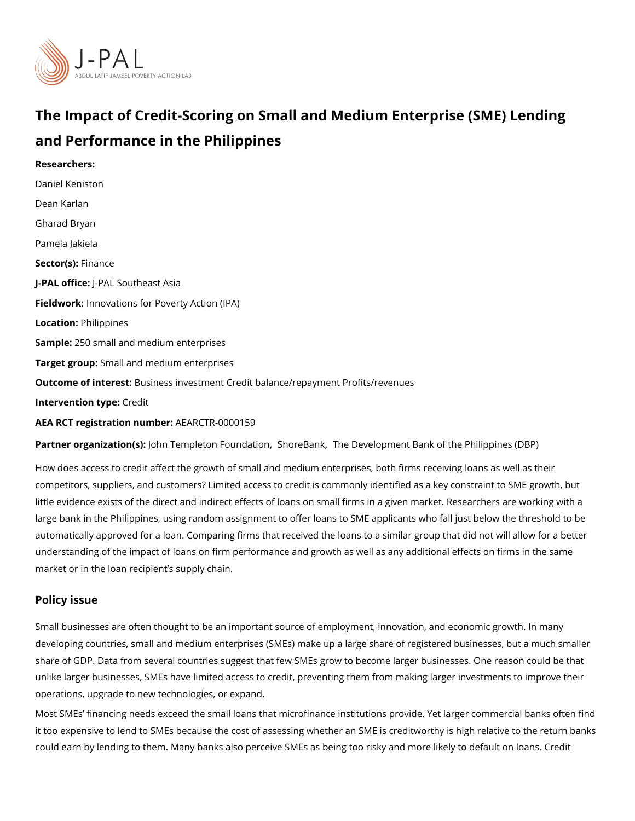# The Impact of Credit-Scoring on Small and Medium Enterpris and Performance in the Philippines

Researchers: [Daniel Ken](https://www.povertyactionlab.org/person/keniston)iston [Dean Ka](https://www.povertyactionlab.org/person/karlan)rlan [Gharad B](https://www.povertyactionlab.org/person/bryan)ryan Pamela Jakiela Sector(Fsi)nance J-PAL of tic PeAL Southeast Asia Fieldworkhovations for Poverty Action (IPA) Locatio Philippines Sample: 50 small and medium enterprises Target gro&pmall and medium enterprises Outcome of inteBustness investment Credit balance/repayment Profits/revenues Intervention t**Cpedit** AEA RCT registration ArEuAnRbGeTR-0000159

Partner organizatJoh(s): empleton Fo[,](https://www.povertyactionlab.org/partners/shorebank)uSh Mate Brank Development Bank of the Philippines (DB

How does access to credit affect the growth of small and medium enterprises, both firms i competitors, suppliers, and customers? Limited access to credit is commonly identified as little evidence exists of the direct and indirect effects of loans on small firms in a given large bank in the Philippines, using random assignment to offer loans to SME applicants w automatically approved for a loan. Comparing firms that received the loans to a similar gr understanding of the impact of loans on firm performance and growth as well as any addit market or in the loan recipient s supply chain.

#### Policy issue

Small businesses are often thought to be an important source of employment, innovation, developing countries, small and medium enterprises (SMEs) make up a large share of regi share of GDP. Data from several countries suggest that few SMEs grow to become larger I unlike larger businesses, SMEs have limited access to credit, preventing them from makin operations, upgrade to new technologies, or expand.

Most SMEs financing needs exceed the small loans that microfinance institutions provide it too expensive to lend to SMEs because the cost of assessing whether an SME is credity could earn by lending to them. Many banks also perceive SMEs as being too risky and mor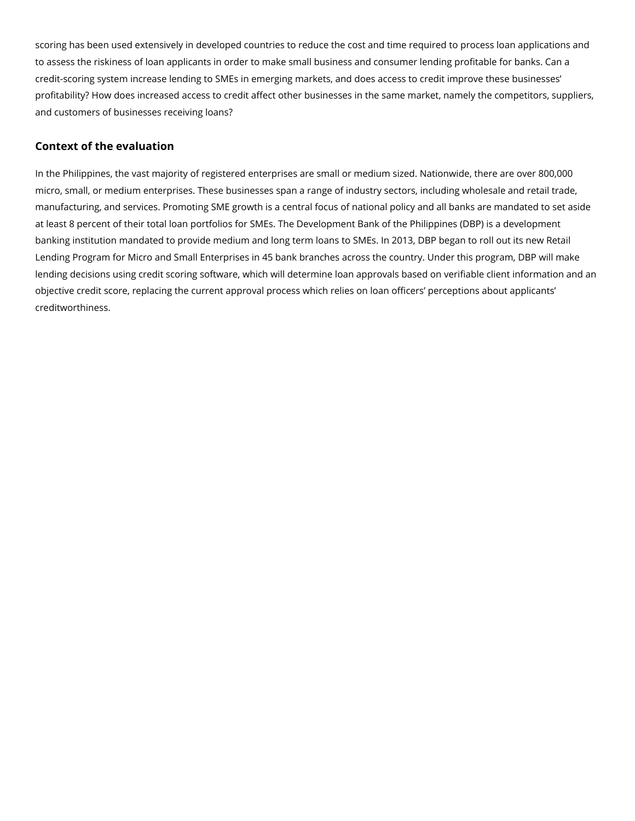scoring has been used extensively in developed countries to reduce the cost and time required to process loan applications and to assess the riskiness of loan applicants in order to make small business and consumer lending profitable for banks. Can a credit-scoring system increase lending to SMEs in emerging markets, and does access to credit improve these businesses' profitability? How does increased access to credit affect other businesses in the same market, namely the competitors, suppliers, and customers of businesses receiving loans?

# **Context of the evaluation**

In the Philippines, the vast majority of registered enterprises are small or medium sized. Nationwide, there are over 800,000 micro, small, or medium enterprises. These businesses span a range of industry sectors, including wholesale and retail trade, manufacturing, and services. Promoting SME growth is a central focus of national policy and all banks are mandated to set aside at least 8 percent of their total loan portfolios for SMEs. The Development Bank of the Philippines (DBP) is a development banking institution mandated to provide medium and long term loans to SMEs. In 2013, DBP began to roll out its new Retail Lending Program for Micro and Small Enterprises in 45 bank branches across the country. Under this program, DBP will make lending decisions using credit scoring software, which will determine loan approvals based on verifiable client information and an objective credit score, replacing the current approval process which relies on loan officers' perceptions about applicants' creditworthiness.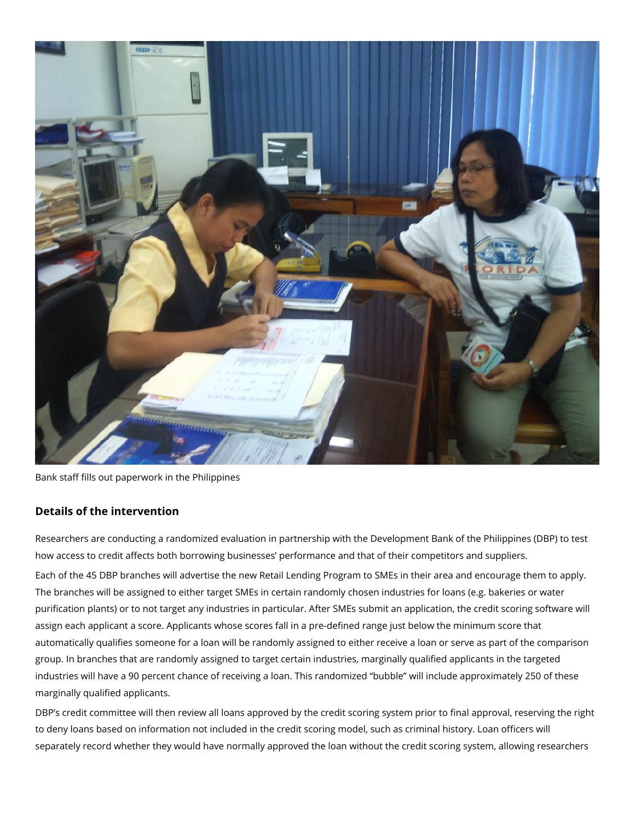

Bank staff fills out paperwork in the Philippines

## **Details of the intervention**

Researchers are conducting a randomized evaluation in partnership with the Development Bank of the Philippines (DBP) to test how access to credit affects both borrowing businesses' performance and that of their competitors and suppliers. Each of the 45 DBP branches will advertise the new Retail Lending Program to SMEs in their area and encourage them to apply. The branches will be assigned to either target SMEs in certain randomly chosen industries for loans (e.g. bakeries or water purification plants) or to not target any industries in particular. After SMEs submit an application, the credit scoring software will assign each applicant a score. Applicants whose scores fall in a pre-defined range just below the minimum score that automatically qualifies someone for a loan will be randomly assigned to either receive a loan or serve as part of the comparison group. In branches that are randomly assigned to target certain industries, marginally qualified applicants in the targeted industries will have a 90 percent chance of receiving a loan. This randomized "bubble" will include approximately 250 of these marginally qualified applicants.

DBP's credit committee will then review all loans approved by the credit scoring system prior to final approval, reserving the right to deny loans based on information not included in the credit scoring model, such as criminal history. Loan officers will separately record whether they would have normally approved the loan without the credit scoring system, allowing researchers